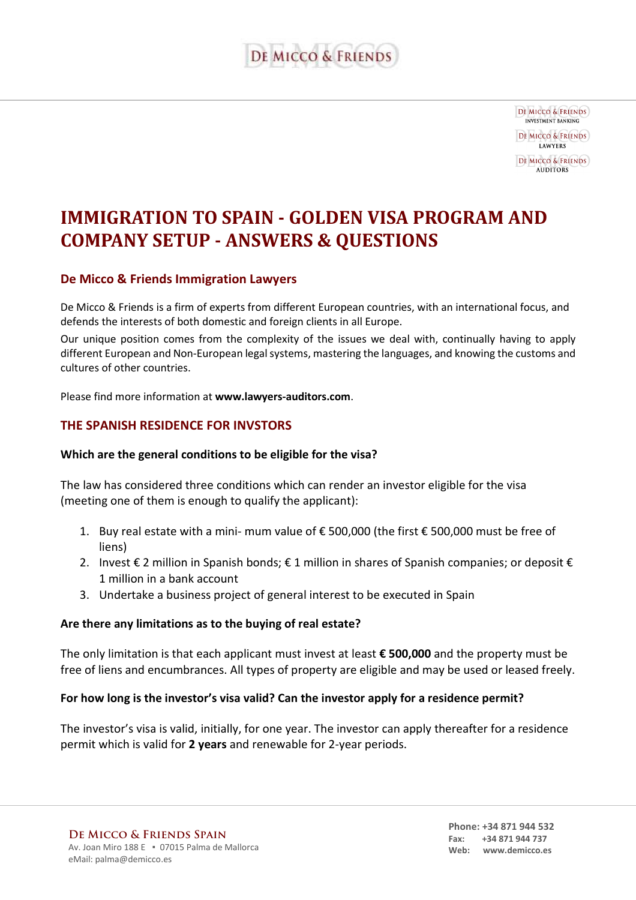

**DE MICCO & FRIENDS INVESTMENT BANKING DE MICCO & FRIENDS LAWYERS** DE MICCO & FRIENDS **AUDITORS** 

## **IMMIGRATION TO SPAIN - GOLDEN VISA PROGRAM AND COMPANY SETUP - ANSWERS & QUESTIONS**

## **De Micco & Friends Immigration Lawyers**

De Micco & Friends is a firm of experts from different European countries, with an international focus, and defends the interests of both domestic and foreign clients in all Europe.

Our unique position comes from the complexity of the issues we deal with, continually having to apply different European and Non-European legal systems, mastering the languages, and knowing the customs and cultures of other countries.

Please find more information at **www.lawyers-auditors.com**.

#### **THE SPANISH RESIDENCE FOR INVSTORS**

#### **Which are the general conditions to be eligible for the visa?**

The law has considered three conditions which can render an investor eligible for the visa (meeting one of them is enough to qualify the applicant):

- 1. Buy real estate with a mini- mum value of € 500,000 (the first € 500,000 must be free of liens)
- 2. Invest € 2 million in Spanish bonds;  $\epsilon$  1 million in shares of Spanish companies; or deposit  $\epsilon$ 1 million in a bank account
- 3. Undertake a business project of general interest to be executed in Spain

#### **Are there any limitations as to the buying of real estate?**

The only limitation is that each applicant must invest at least **€ 500,000** and the property must be free of liens and encumbrances. All types of property are eligible and may be used or leased freely.

#### **For how long is the investor's visa valid? Can the investor apply for a residence permit?**

The investor's visa is valid, initially, for one year. The investor can apply thereafter for a residence permit which is valid for **2 years** and renewable for 2-year periods.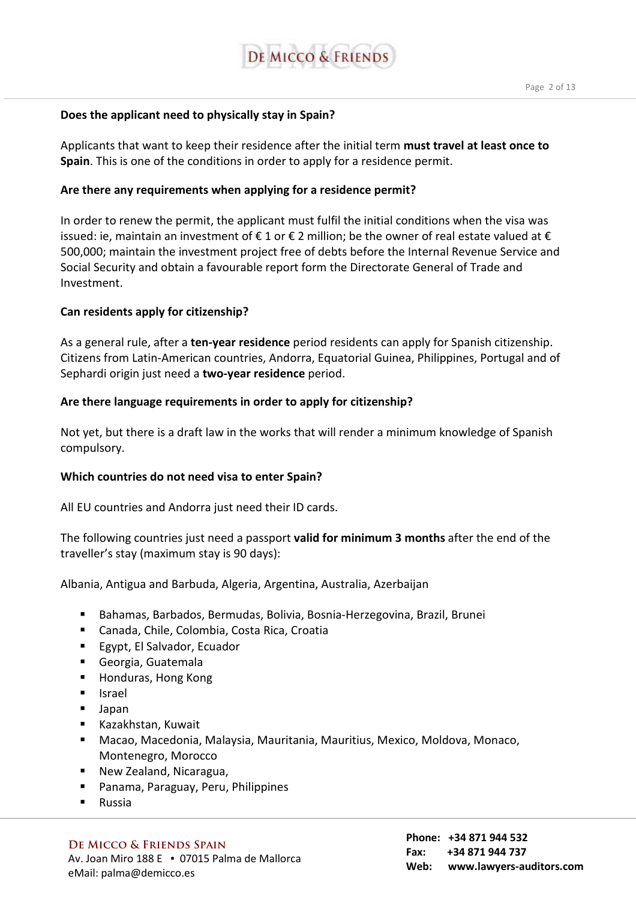

#### **Does the applicant need to physically stay in Spain?**

Applicants that want to keep their residence after the initial term **must travel at least once to Spain**. This is one of the conditions in order to apply for a residence permit.

#### **Are there any requirements when applying for a residence permit?**

In order to renew the permit, the applicant must fulfil the initial conditions when the visa was issued: ie, maintain an investment of  $\epsilon$  1 or  $\epsilon$  2 million; be the owner of real estate valued at  $\epsilon$ 500,000; maintain the investment project free of debts before the Internal Revenue Service and Social Security and obtain a favourable report form the Directorate General of Trade and Investment.

#### **Can residents apply for citizenship?**

As a general rule, after a **ten-year residence** period residents can apply for Spanish citizenship. Citizens from Latin-American countries, Andorra, Equatorial Guinea, Philippines, Portugal and of Sephardi origin just need a **two-year residence** period.

#### **Are there language requirements in order to apply for citizenship?**

Not yet, but there is a draft law in the works that will render a minimum knowledge of Spanish compulsory.

#### **Which countries do not need visa to enter Spain?**

All EU countries and Andorra just need their ID cards.

The following countries just need a passport **valid for minimum 3 months** after the end of the traveller's stay (maximum stay is 90 days):

Albania, Antigua and Barbuda, Algeria, Argentina, Australia, Azerbaijan

- Bahamas, Barbados, Bermudas, Bolivia, Bosnia-Herzegovina, Brazil, Brunei
- Canada, Chile, Colombia, Costa Rica, Croatia
- Egypt, El Salvador, Ecuador
- Georgia, Guatemala
- Honduras, Hong Kong
- Israel
- Japan
- Kazakhstan, Kuwait
- Macao, Macedonia, Malaysia, Mauritania, Mauritius, Mexico, Moldova, Monaco, Montenegro, Morocco
- New Zealand, Nicaragua,
- Panama, Paraguay, Peru, Philippines
- **Russia**

#### **De Micco & Friends Spain**

Av. Joan Miro 188 E · 07015 Palma de Mallorca eMail: palma@demicco.es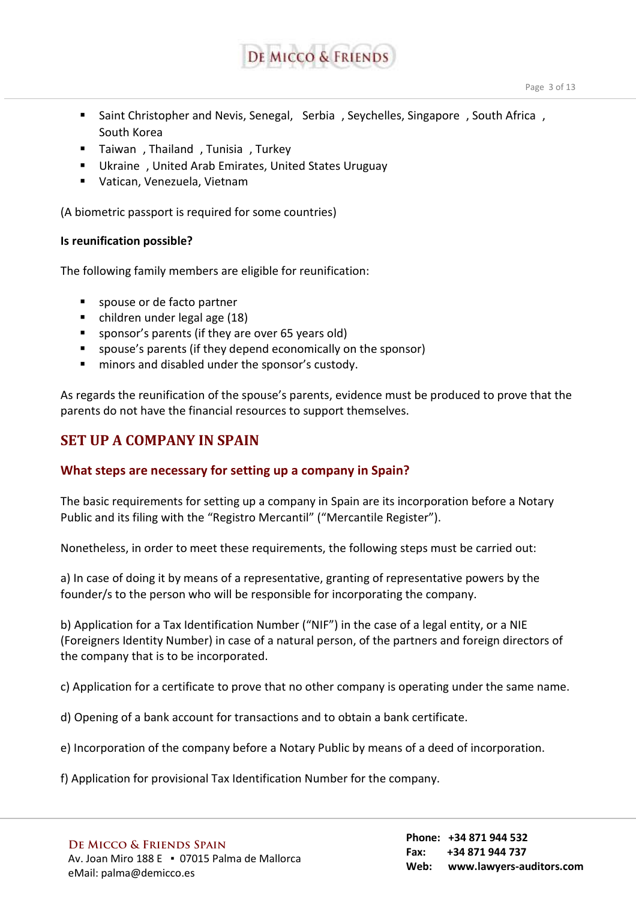

- Saint Christopher and Nevis, Senegal, Serbia , Seychelles, Singapore , South Africa , South Korea
- **Taiwan**, Thailand, Tunisia, Turkey
- Ukraine , United Arab Emirates, United States Uruguay
- Vatican, Venezuela, Vietnam

(A biometric passport is required for some countries)

#### **Is reunification possible?**

The following family members are eligible for reunification:

- spouse or de facto partner
- children under legal age (18)
- sponsor's parents (if they are over 65 years old)
- spouse's parents (if they depend economically on the sponsor)
- **numinors and disabled under the sponsor's custody.**

As regards the reunification of the spouse's parents, evidence must be produced to prove that the parents do not have the financial resources to support themselves.

## **SET UP A COMPANY IN SPAIN**

## **What steps are necessary for setting up a company in Spain?**

The basic requirements for setting up a company in Spain are its incorporation before a Notary Public and its filing with the "Registro Mercantil" ("Mercantile Register").

Nonetheless, in order to meet these requirements, the following steps must be carried out:

a) In case of doing it by means of a representative, granting of representative powers by the founder/s to the person who will be responsible for incorporating the company.

b) Application for a Tax Identification Number ("NIF") in the case of a legal entity, or a NIE (Foreigners Identity Number) in case of a natural person, of the partners and foreign directors of the company that is to be incorporated.

c) Application for a certificate to prove that no other company is operating under the same name.

d) Opening of a bank account for transactions and to obtain a bank certificate.

e) Incorporation of the company before a Notary Public by means of a deed of incorporation.

f) Application for provisional Tax Identification Number for the company.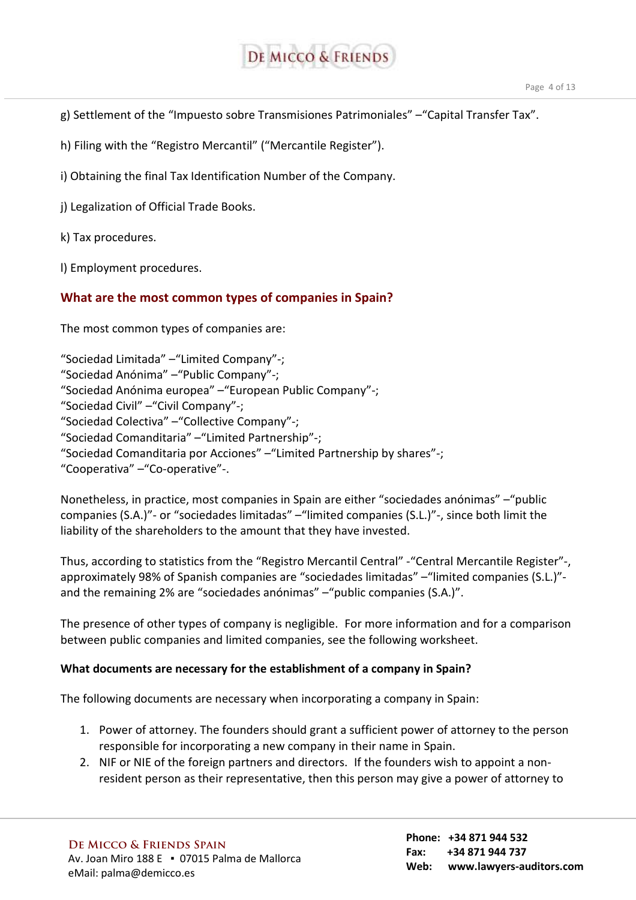

g) Settlement of the "Impuesto sobre Transmisiones Patrimoniales" –"Capital Transfer Tax".

h) Filing with the "Registro Mercantil" ("Mercantile Register").

i) Obtaining the final Tax Identification Number of the Company.

j) Legalization of Official Trade Books.

k) Tax procedures.

l) Employment procedures.

## **What are the most common types of companies in Spain?**

The most common types of companies are:

"Sociedad Limitada" –"Limited Company"-; "Sociedad Anónima" –"Public Company"-; "Sociedad Anónima europea" –"European Public Company"-; "Sociedad Civil" –"Civil Company"-; "Sociedad Colectiva" –"Collective Company"-; "Sociedad Comanditaria" –"Limited Partnership"-; "Sociedad Comanditaria por Acciones" –"Limited Partnership by shares"-; "Cooperativa" –"Co-operative"-.

Nonetheless, in practice, most companies in Spain are either "sociedades anónimas" –"public companies (S.A.)"- or "sociedades limitadas" –"limited companies (S.L.)"-, since both limit the liability of the shareholders to the amount that they have invested.

Thus, according to statistics from the "Registro Mercantil Central" -"Central Mercantile Register"-, approximately 98% of Spanish companies are "sociedades limitadas" –"limited companies (S.L.)" and the remaining 2% are "sociedades anónimas" –"public companies (S.A.)".

The presence of other types of company is negligible. For more information and for a comparison between public companies and limited companies, see the following worksheet.

#### **What documents are necessary for the establishment of a company in Spain?**

The following documents are necessary when incorporating a company in Spain:

- 1. Power of attorney. The founders should grant a sufficient power of attorney to the person responsible for incorporating a new company in their name in Spain.
- 2. NIF or NIE of the foreign partners and directors. If the founders wish to appoint a nonresident person as their representative, then this person may give a power of attorney to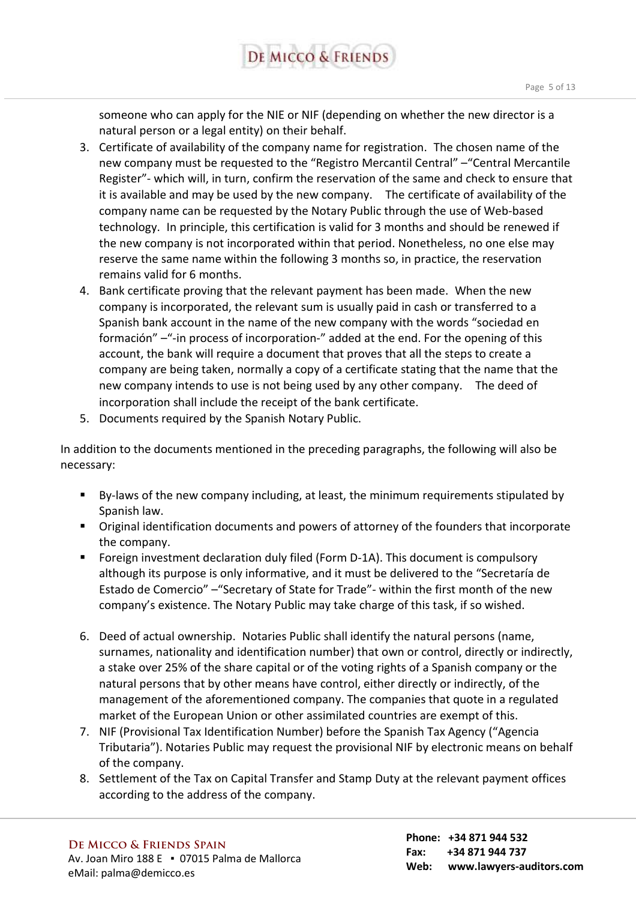someone who can apply for the NIE or NIF (depending on whether the new director is a natural person or a legal entity) on their behalf.

- 3. Certificate of availability of the company name for registration. The chosen name of the new company must be requested to the "Registro Mercantil Central" –"Central Mercantile Register"- which will, in turn, confirm the reservation of the same and check to ensure that it is available and may be used by the new company. The certificate of availability of the company name can be requested by the Notary Public through the use of Web-based technology. In principle, this certification is valid for 3 months and should be renewed if the new company is not incorporated within that period. Nonetheless, no one else may reserve the same name within the following 3 months so, in practice, the reservation remains valid for 6 months.
- 4. Bank certificate proving that the relevant payment has been made. When the new company is incorporated, the relevant sum is usually paid in cash or transferred to a Spanish bank account in the name of the new company with the words "sociedad en formación" –"-in process of incorporation-" added at the end. For the opening of this account, the bank will require a document that proves that all the steps to create a company are being taken, normally a copy of a certificate stating that the name that the new company intends to use is not being used by any other company. The deed of incorporation shall include the receipt of the bank certificate.
- 5. Documents required by the Spanish Notary Public.

In addition to the documents mentioned in the preceding paragraphs, the following will also be necessary:

- By-laws of the new company including, at least, the minimum requirements stipulated by Spanish law.
- Original identification documents and powers of attorney of the founders that incorporate the company.
- Foreign investment declaration duly filed (Form D-1A). This document is compulsory although its purpose is only informative, and it must be delivered to the "Secretaría de Estado de Comercio" –"Secretary of State for Trade"- within the first month of the new company's existence. The Notary Public may take charge of this task, if so wished.
- 6. Deed of actual ownership. Notaries Public shall identify the natural persons (name, surnames, nationality and identification number) that own or control, directly or indirectly, a stake over 25% of the share capital or of the voting rights of a Spanish company or the natural persons that by other means have control, either directly or indirectly, of the management of the aforementioned company. The companies that quote in a regulated market of the European Union or other assimilated countries are exempt of this.
- 7. NIF (Provisional Tax Identification Number) before the Spanish Tax Agency ("Agencia Tributaria"). Notaries Public may request the provisional NIF by electronic means on behalf of the company.
- 8. Settlement of the Tax on Capital Transfer and Stamp Duty at the relevant payment offices according to the address of the company.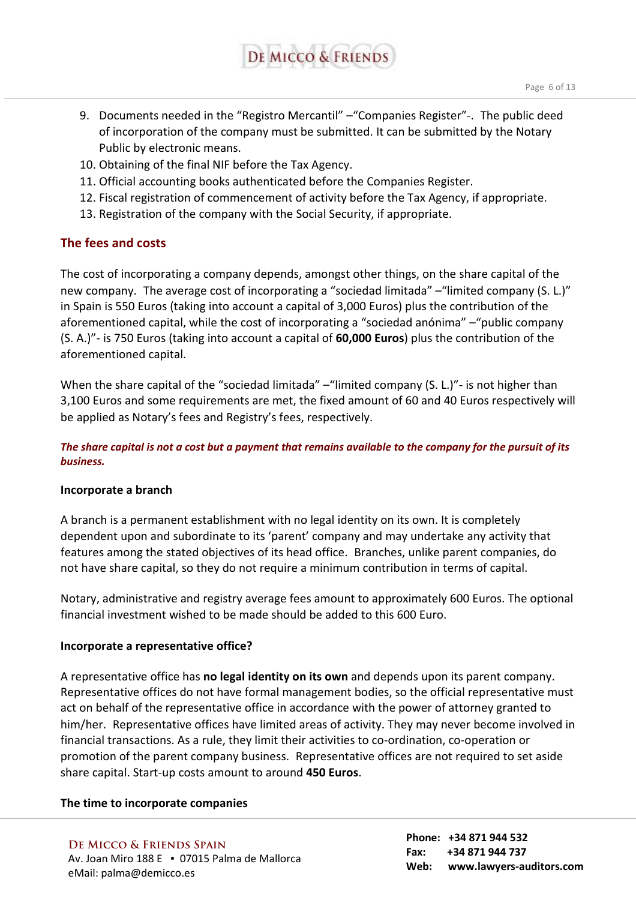- Page 6 of 13
- 9. Documents needed in the "Registro Mercantil" –"Companies Register"-. The public deed of incorporation of the company must be submitted. It can be submitted by the Notary Public by electronic means.

DE MICCO & FRIENDS

- 10. Obtaining of the final NIF before the Tax Agency.
- 11. Official accounting books authenticated before the Companies Register.
- 12. Fiscal registration of commencement of activity before the Tax Agency, if appropriate.
- 13. Registration of the company with the Social Security, if appropriate.

## **The fees and costs**

The cost of incorporating a company depends, amongst other things, on the share capital of the new company. The average cost of incorporating a "sociedad limitada" –"limited company (S. L.)" in Spain is 550 Euros (taking into account a capital of 3,000 Euros) plus the contribution of the aforementioned capital, while the cost of incorporating a "sociedad anónima" –"public company (S. A.)"- is 750 Euros (taking into account a capital of **60,000 Euros**) plus the contribution of the aforementioned capital.

When the share capital of the "sociedad limitada" – "limited company (S. L.)" - is not higher than 3,100 Euros and some requirements are met, the fixed amount of 60 and 40 Euros respectively will be applied as Notary's fees and Registry's fees, respectively.

*The share capital is not a cost but a payment that remains available to the company for the pursuit of its business.* 

#### **Incorporate a branch**

A branch is a permanent establishment with no legal identity on its own. It is completely dependent upon and subordinate to its 'parent' company and may undertake any activity that features among the stated objectives of its head office. Branches, unlike parent companies, do not have share capital, so they do not require a minimum contribution in terms of capital.

Notary, administrative and registry average fees amount to approximately 600 Euros. The optional financial investment wished to be made should be added to this 600 Euro.

#### **Incorporate a representative office?**

A representative office has **no legal identity on its own** and depends upon its parent company. Representative offices do not have formal management bodies, so the official representative must act on behalf of the representative office in accordance with the power of attorney granted to him/her. Representative offices have limited areas of activity. They may never become involved in financial transactions. As a rule, they limit their activities to co-ordination, co-operation or promotion of the parent company business. Representative offices are not required to set aside share capital. Start-up costs amount to around **450 Euros**.

#### **The time to incorporate companies**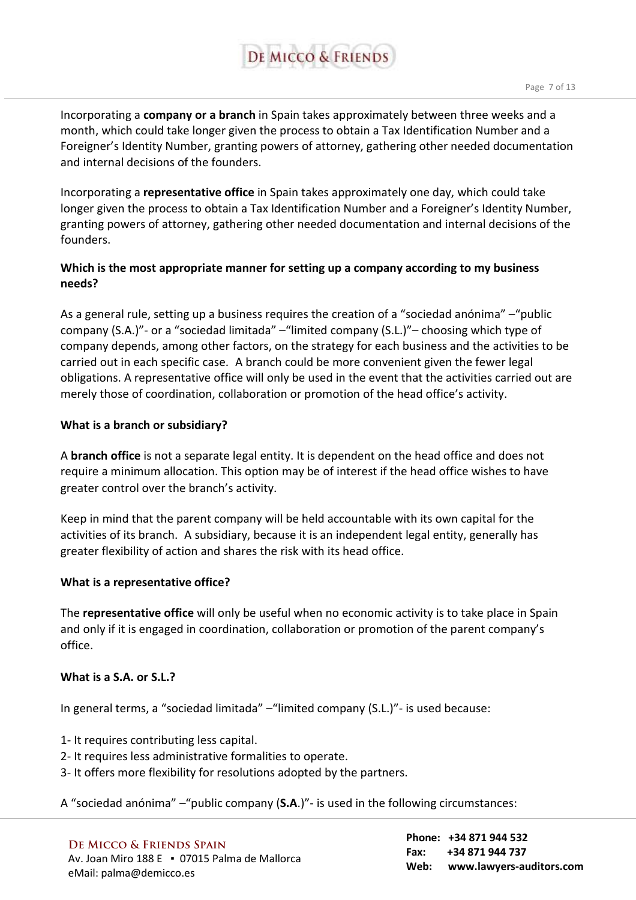# DE MICCO & FRIENDS

Incorporating a **company or a branch** in Spain takes approximately between three weeks and a month, which could take longer given the process to obtain a Tax Identification Number and a Foreigner's Identity Number, granting powers of attorney, gathering other needed documentation and internal decisions of the founders.

Incorporating a **representative office** in Spain takes approximately one day, which could take longer given the process to obtain a Tax Identification Number and a Foreigner's Identity Number, granting powers of attorney, gathering other needed documentation and internal decisions of the founders.

## **Which is the most appropriate manner for setting up a company according to my business needs?**

As a general rule, setting up a business requires the creation of a "sociedad anónima" –"public company (S.A.)"- or a "sociedad limitada" –"limited company (S.L.)"– choosing which type of company depends, among other factors, on the strategy for each business and the activities to be carried out in each specific case. A branch could be more convenient given the fewer legal obligations. A representative office will only be used in the event that the activities carried out are merely those of coordination, collaboration or promotion of the head office's activity.

## **What is a branch or subsidiary?**

A **branch office** is not a separate legal entity. It is dependent on the head office and does not require a minimum allocation. This option may be of interest if the head office wishes to have greater control over the branch's activity.

Keep in mind that the parent company will be held accountable with its own capital for the activities of its branch. A subsidiary, because it is an independent legal entity, generally has greater flexibility of action and shares the risk with its head office.

## **What is a representative office?**

The **representative office** will only be useful when no economic activity is to take place in Spain and only if it is engaged in coordination, collaboration or promotion of the parent company's office.

#### **What is a S.A. or S.L.?**

In general terms, a "sociedad limitada" –"limited company (S.L.)"- is used because:

- 1- It requires contributing less capital.
- 2- It requires less administrative formalities to operate.
- 3- It offers more flexibility for resolutions adopted by the partners.

A "sociedad anónima" –"public company (**S.A**.)"- is used in the following circumstances: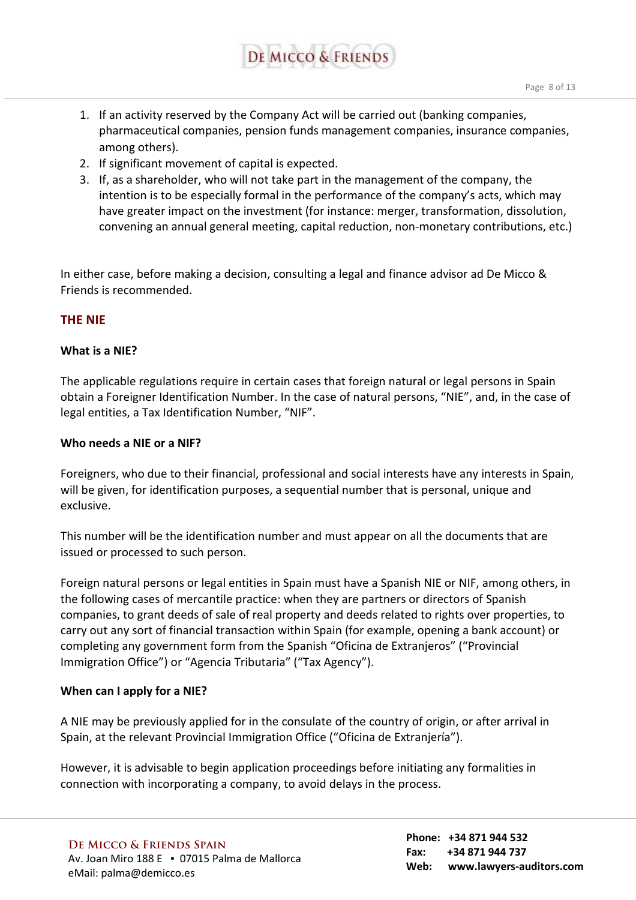

- 1. If an activity reserved by the Company Act will be carried out (banking companies, pharmaceutical companies, pension funds management companies, insurance companies, among others).
- 2. If significant movement of capital is expected.
- 3. If, as a shareholder, who will not take part in the management of the company, the intention is to be especially formal in the performance of the company's acts, which may have greater impact on the investment (for instance: merger, transformation, dissolution, convening an annual general meeting, capital reduction, non-monetary contributions, etc.)

In either case, before making a decision, consulting a legal and finance advisor ad De Micco & Friends is recommended.

## **THE NIE**

#### **What is a NIE?**

The applicable regulations require in certain cases that foreign natural or legal persons in Spain obtain a Foreigner Identification Number. In the case of natural persons, "NIE", and, in the case of legal entities, a Tax Identification Number, "NIF".

#### **Who needs a NIE or a NIF?**

Foreigners, who due to their financial, professional and social interests have any interests in Spain, will be given, for identification purposes, a sequential number that is personal, unique and exclusive.

This number will be the identification number and must appear on all the documents that are issued or processed to such person.

Foreign natural persons or legal entities in Spain must have a Spanish NIE or NIF, among others, in the following cases of mercantile practice: when they are partners or directors of Spanish companies, to grant deeds of sale of real property and deeds related to rights over properties, to carry out any sort of financial transaction within Spain (for example, opening a bank account) or completing any government form from the Spanish "Oficina de Extranjeros" ("Provincial Immigration Office") or "Agencia Tributaria" ("Tax Agency").

#### **When can I apply for a NIE?**

A NIE may be previously applied for in the consulate of the country of origin, or after arrival in Spain, at the relevant Provincial Immigration Office ("Oficina de Extranjería").

However, it is advisable to begin application proceedings before initiating any formalities in connection with incorporating a company, to avoid delays in the process.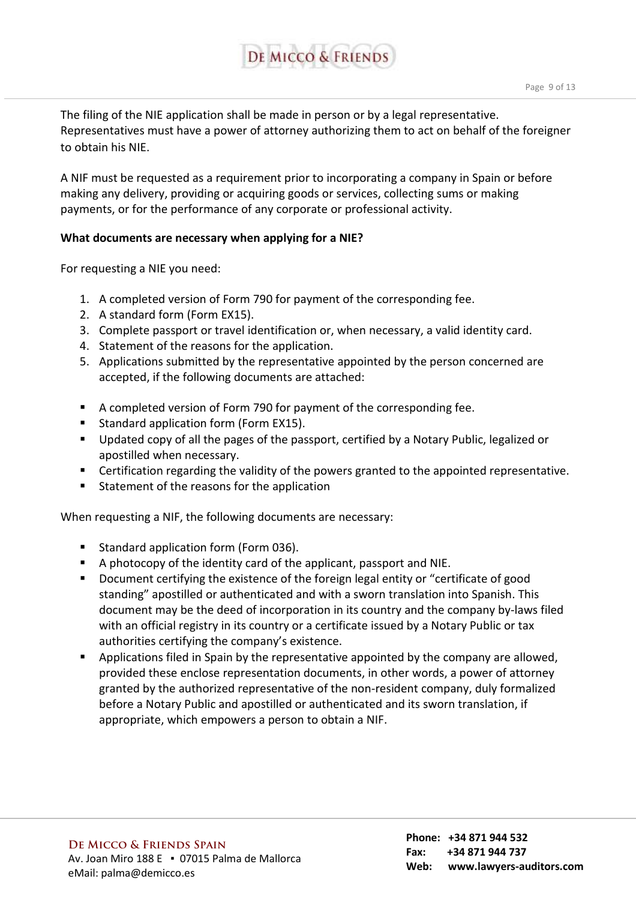

The filing of the NIE application shall be made in person or by a legal representative. Representatives must have a power of attorney authorizing them to act on behalf of the foreigner to obtain his NIE.

A NIF must be requested as a requirement prior to incorporating a company in Spain or before making any delivery, providing or acquiring goods or services, collecting sums or making payments, or for the performance of any corporate or professional activity.

#### **What documents are necessary when applying for a NIE?**

For requesting a NIE you need:

- 1. A completed version of Form 790 for payment of the corresponding fee.
- 2. A standard form (Form EX15).
- 3. Complete passport or travel identification or, when necessary, a valid identity card.
- 4. Statement of the reasons for the application.
- 5. Applications submitted by the representative appointed by the person concerned are accepted, if the following documents are attached:
- A completed version of Form 790 for payment of the corresponding fee.
- Standard application form (Form EX15).
- **Updated copy of all the pages of the passport, certified by a Notary Public, legalized or** apostilled when necessary.
- Certification regarding the validity of the powers granted to the appointed representative.
- Statement of the reasons for the application

When requesting a NIF, the following documents are necessary:

- **Standard application form (Form 036).**
- A photocopy of the identity card of the applicant, passport and NIE.
- Document certifying the existence of the foreign legal entity or "certificate of good standing" apostilled or authenticated and with a sworn translation into Spanish. This document may be the deed of incorporation in its country and the company by-laws filed with an official registry in its country or a certificate issued by a Notary Public or tax authorities certifying the company's existence.
- **Applications filed in Spain by the representative appointed by the company are allowed,** provided these enclose representation documents, in other words, a power of attorney granted by the authorized representative of the non-resident company, duly formalized before a Notary Public and apostilled or authenticated and its sworn translation, if appropriate, which empowers a person to obtain a NIF.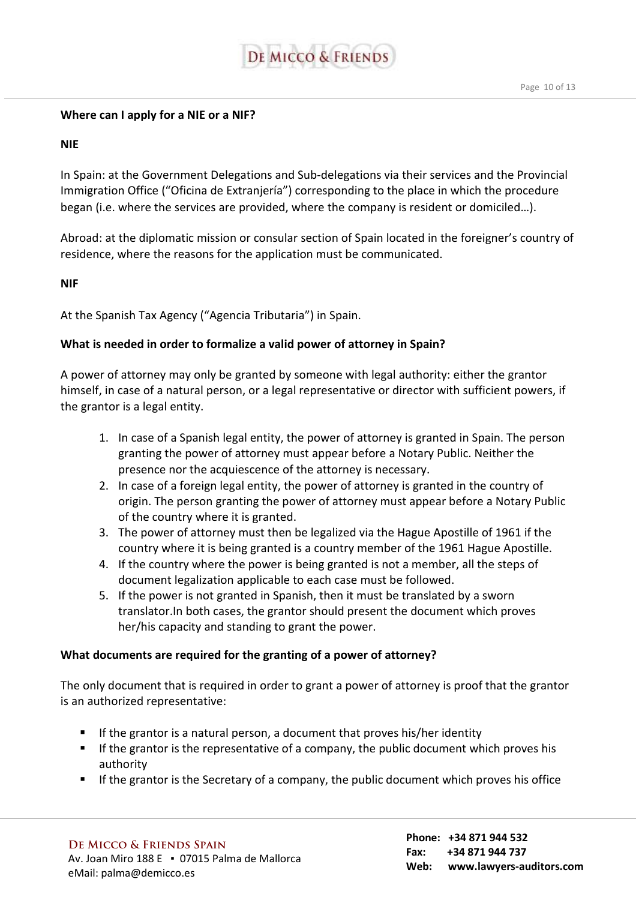

#### **Where can I apply for a NIE or a NIF?**

#### **NIE**

In Spain: at the Government Delegations and Sub-delegations via their services and the Provincial Immigration Office ("Oficina de Extranjería") corresponding to the place in which the procedure began (i.e. where the services are provided, where the company is resident or domiciled…).

Abroad: at the diplomatic mission or consular section of Spain located in the foreigner's country of residence, where the reasons for the application must be communicated.

#### **NIF**

At the Spanish Tax Agency ("Agencia Tributaria") in Spain.

## **What is needed in order to formalize a valid power of attorney in Spain?**

A power of attorney may only be granted by someone with legal authority: either the grantor himself, in case of a natural person, or a legal representative or director with sufficient powers, if the grantor is a legal entity.

- 1. In case of a Spanish legal entity, the power of attorney is granted in Spain. The person granting the power of attorney must appear before a Notary Public. Neither the presence nor the acquiescence of the attorney is necessary.
- 2. In case of a foreign legal entity, the power of attorney is granted in the country of origin. The person granting the power of attorney must appear before a Notary Public of the country where it is granted.
- 3. The power of attorney must then be legalized via the Hague Apostille of 1961 if the country where it is being granted is a country member of the 1961 Hague Apostille.
- 4. If the country where the power is being granted is not a member, all the steps of document legalization applicable to each case must be followed.
- 5. If the power is not granted in Spanish, then it must be translated by a sworn translator.In both cases, the grantor should present the document which proves her/his capacity and standing to grant the power.

## **What documents are required for the granting of a power of attorney?**

The only document that is required in order to grant a power of attorney is proof that the grantor is an authorized representative:

- If the grantor is a natural person, a document that proves his/her identity
- $\blacksquare$  If the grantor is the representative of a company, the public document which proves his authority
- If the grantor is the Secretary of a company, the public document which proves his office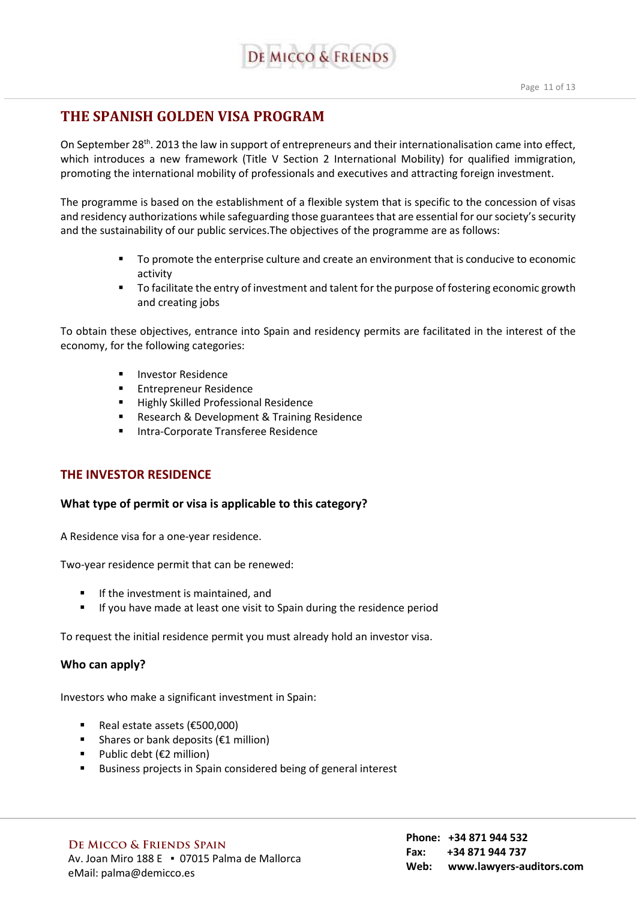

## **THE SPANISH GOLDEN VISA PROGRAM**

On September 28<sup>th</sup>. 2013 the law in support of entrepreneurs and their internationalisation came into effect, which introduces a new framework (Title V Section 2 International Mobility) for qualified immigration, promoting the international mobility of professionals and executives and attracting foreign investment.

The programme is based on the establishment of a flexible system that is specific to the concession of visas and residency authorizations while safeguarding those guarantees that are essential for our society's security and the sustainability of our public services.The objectives of the programme are as follows:

- To promote the enterprise culture and create an environment that is conducive to economic activity
- To facilitate the entry of investment and talent for the purpose of fostering economic growth and creating jobs

To obtain these objectives, entrance into Spain and residency permits are facilitated in the interest of the economy, for the following categories:

- **Investor Residence**
- **Entrepreneur Residence**
- **Highly Skilled Professional Residence**
- **Research & Development & Training Residence**
- **Intra-Corporate Transferee Residence**

#### **THE INVESTOR RESIDENCE**

#### **What type of permit or visa is applicable to this category?**

A Residence visa for a one-year residence.

Two-year residence permit that can be renewed:

- If the investment is maintained, and
- If you have made at least one visit to Spain during the residence period

To request the initial residence permit you must already hold an investor visa.

#### **Who can apply?**

Investors who make a significant investment in Spain:

- Real estate assets (€500,000)
- Shares or bank deposits ( $\epsilon$ 1 million)
- Public debt ( $€2$  million)
- **Business projects in Spain considered being of general interest**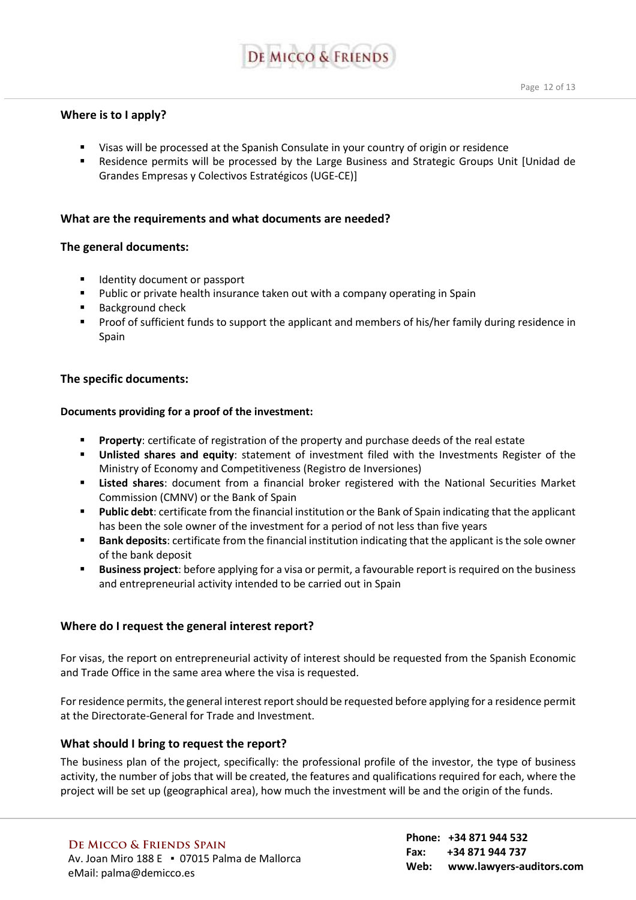# **DE MICCO & FRIENDS**

- Visas will be processed at the Spanish Consulate in your country of origin or residence
- Residence permits will be processed by the Large Business and Strategic Groups Unit [Unidad de Grandes Empresas y Colectivos Estratégicos (UGE-CE)]

#### **What are the requirements and what documents are needed?**

#### **The general documents:**

- **IDENTIFY document or passport**
- Public or private health insurance taken out with a company operating in Spain
- Background check
- **Proof of sufficient funds to support the applicant and members of his/her family during residence in** Spain

#### **The specific documents:**

#### **Documents providing for a proof of the investment:**

- **Property:** certificate of registration of the property and purchase deeds of the real estate
- **Unlisted shares and equity**: statement of investment filed with the Investments Register of the Ministry of Economy and Competitiveness (Registro de Inversiones)
- **Listed shares**: document from a financial broker registered with the National Securities Market Commission (CMNV) or the Bank of Spain
- **Public debt**: certificate from the financial institution or the Bank of Spain indicating that the applicant has been the sole owner of the investment for a period of not less than five years
- **Bank deposits**: certificate from the financial institution indicating that the applicant is the sole owner of the bank deposit
- **Business project**: before applying for a visa or permit, a favourable report is required on the business and entrepreneurial activity intended to be carried out in Spain

#### **Where do I request the general interest report?**

For visas, the report on entrepreneurial activity of interest should be requested from the Spanish Economic and Trade Office in the same area where the visa is requested.

For residence permits, the general interest report should be requested before applying for a residence permit at the Directorate-General for Trade and Investment.

#### **What should I bring to request the report?**

The business plan of the project, specifically: the professional profile of the investor, the type of business activity, the number of jobs that will be created, the features and qualifications required for each, where the project will be set up (geographical area), how much the investment will be and the origin of the funds.